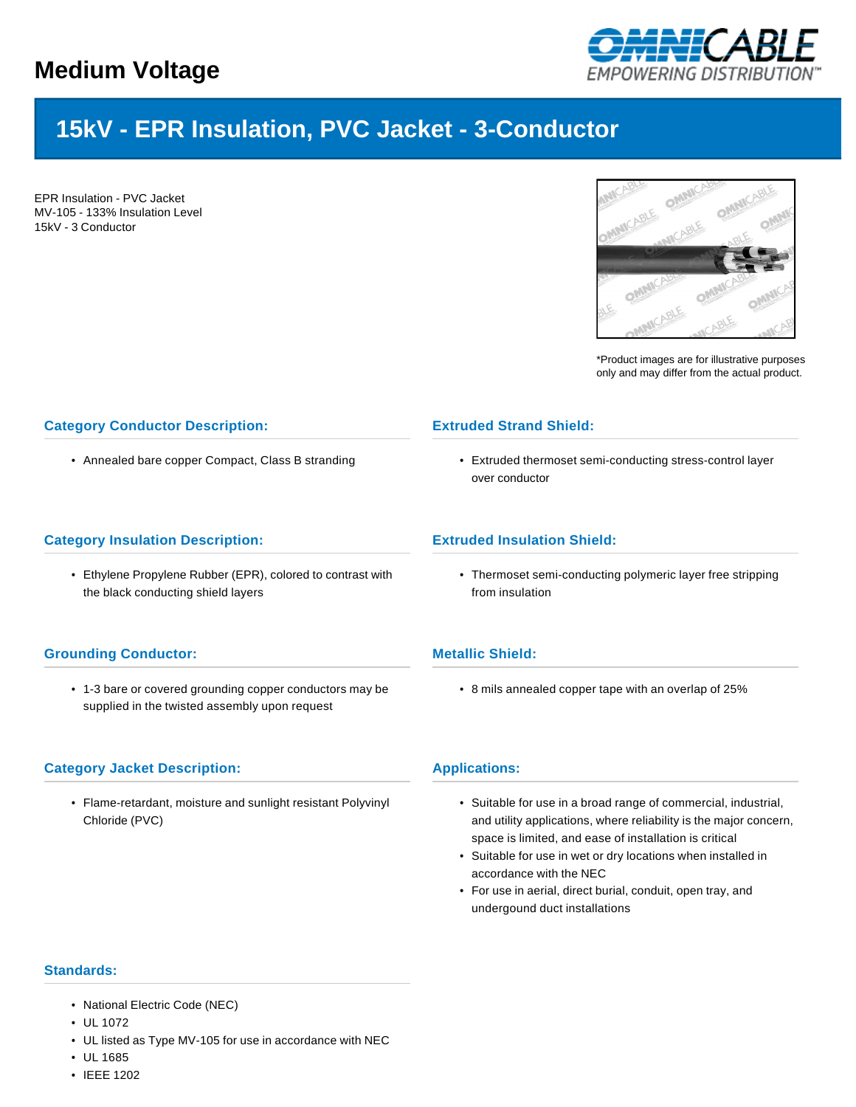

# **15kV - EPR Insulation, PVC Jacket - 3-Conductor**

EPR Insulation - PVC Jacket MV-105 - 133% Insulation Level 15kV - 3 Conductor



\*Product images are for illustrative purposes only and may differ from the actual product.

## **Category Conductor Description:**

• Annealed bare copper Compact, Class B stranding

#### **Category Insulation Description:**

• Ethylene Propylene Rubber (EPR), colored to contrast with the black conducting shield layers

## **Grounding Conductor:**

• 1-3 bare or covered grounding copper conductors may be supplied in the twisted assembly upon request

## **Category Jacket Description:**

• Flame-retardant, moisture and sunlight resistant Polyvinyl Chloride (PVC)

## **Extruded Strand Shield:**

• Extruded thermoset semi-conducting stress-control layer over conductor

#### **Extruded Insulation Shield:**

• Thermoset semi-conducting polymeric layer free stripping from insulation

## **Metallic Shield:**

• 8 mils annealed copper tape with an overlap of 25%

#### **Applications:**

- Suitable for use in a broad range of commercial, industrial, and utility applications, where reliability is the major concern, space is limited, and ease of installation is critical
- Suitable for use in wet or dry locations when installed in accordance with the NEC
- For use in aerial, direct burial, conduit, open tray, and undergound duct installations

#### **Standards:**

- National Electric Code (NEC)
- UL 1072
- UL listed as Type MV-105 for use in accordance with NEC
- UL 1685
- IEEE 1202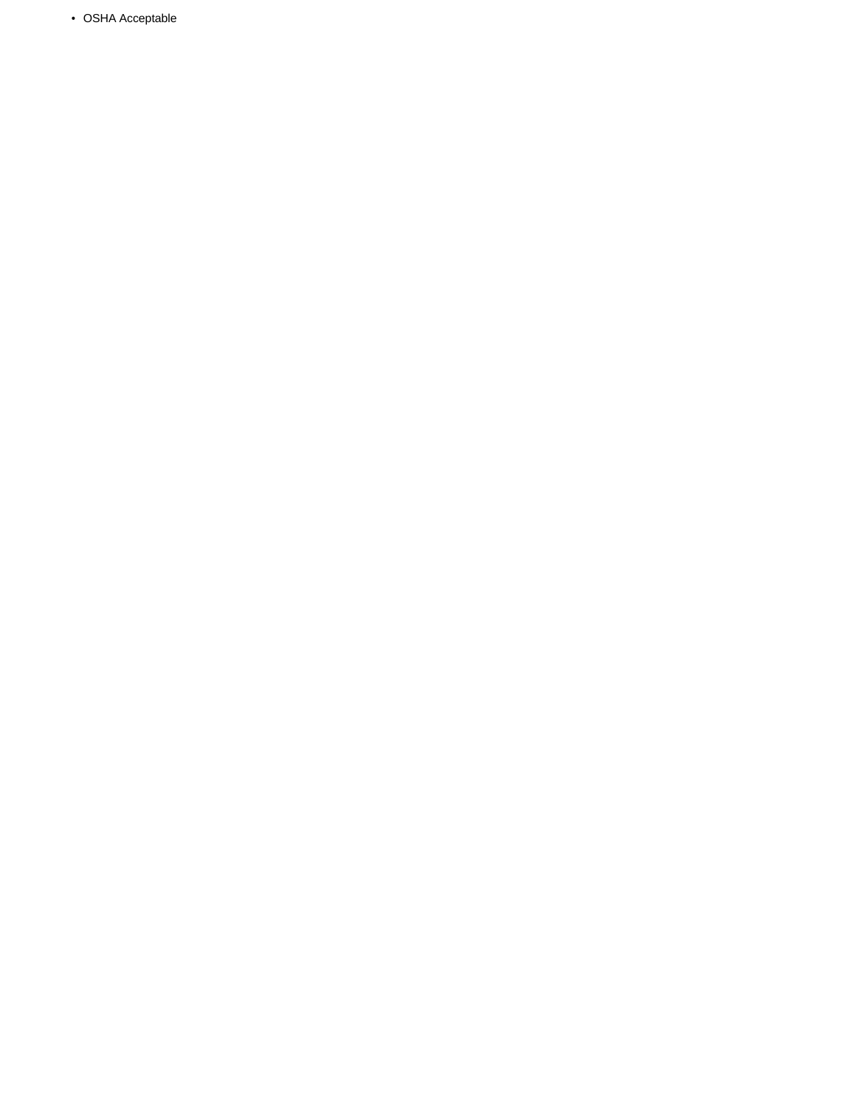• OSHA Acceptable